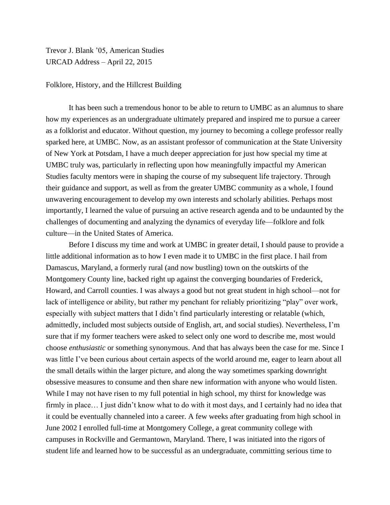Trevor J. Blank '05, American Studies URCAD Address – April 22, 2015

## Folklore, History, and the Hillcrest Building

It has been such a tremendous honor to be able to return to UMBC as an alumnus to share how my experiences as an undergraduate ultimately prepared and inspired me to pursue a career as a folklorist and educator. Without question, my journey to becoming a college professor really sparked here, at UMBC. Now, as an assistant professor of communication at the State University of New York at Potsdam, I have a much deeper appreciation for just how special my time at UMBC truly was, particularly in reflecting upon how meaningfully impactful my American Studies faculty mentors were in shaping the course of my subsequent life trajectory. Through their guidance and support, as well as from the greater UMBC community as a whole, I found unwavering encouragement to develop my own interests and scholarly abilities. Perhaps most importantly, I learned the value of pursuing an active research agenda and to be undaunted by the challenges of documenting and analyzing the dynamics of everyday life—folklore and folk culture—in the United States of America.

Before I discuss my time and work at UMBC in greater detail, I should pause to provide a little additional information as to how I even made it to UMBC in the first place. I hail from Damascus, Maryland, a formerly rural (and now bustling) town on the outskirts of the Montgomery County line, backed right up against the converging boundaries of Frederick, Howard, and Carroll counties. I was always a good but not great student in high school—not for lack of intelligence or ability, but rather my penchant for reliably prioritizing "play" over work, especially with subject matters that I didn't find particularly interesting or relatable (which, admittedly, included most subjects outside of English, art, and social studies). Nevertheless, I'm sure that if my former teachers were asked to select only one word to describe me, most would choose *enthusiastic* or something synonymous. And that has always been the case for me. Since I was little I've been curious about certain aspects of the world around me, eager to learn about all the small details within the larger picture, and along the way sometimes sparking downright obsessive measures to consume and then share new information with anyone who would listen. While I may not have risen to my full potential in high school, my thirst for knowledge was firmly in place… I just didn't know what to do with it most days, and I certainly had no idea that it could be eventually channeled into a career. A few weeks after graduating from high school in June 2002 I enrolled full-time at Montgomery College, a great community college with campuses in Rockville and Germantown, Maryland. There, I was initiated into the rigors of student life and learned how to be successful as an undergraduate, committing serious time to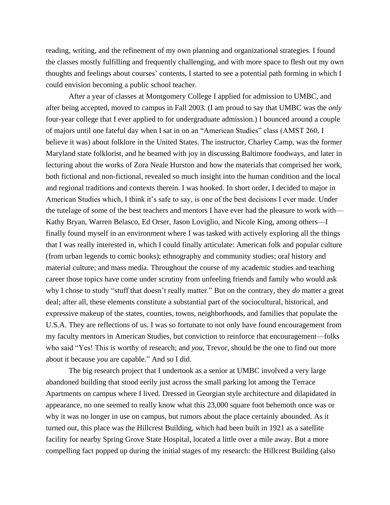reading, writing, and the refinement of my own planning and organizational strategies. I found the classes mostly fulfilling and frequently challenging, and with more space to flesh out my own thoughts and feelings about courses' contents, I started to see a potential path forming in which I could envision becoming a public school teacher.

After a year of classes at Montgomery College I applied for admission to UMBC, and after being accepted, moved to campus in Fall 2003. (I am proud to say that UMBC was the *only* four-year college that I ever applied to for undergraduate admission.) I bounced around a couple of majors until one fateful day when I sat in on an "American Studies" class (AMST 260, I believe it was) about folklore in the United States. The instructor, Charley Camp, was the former Maryland state folklorist, and he beamed with joy in discussing Baltimore foodways, and later in lecturing about the works of Zora Neale Hurston and how the materials that comprised her work, both fictional and non-fictional, revealed so much insight into the human condition and the local and regional traditions and contexts therein. I was hooked. In short order, I decided to major in American Studies which, I think it's safe to say, is one of the best decisions I ever made. Under the tutelage of some of the best teachers and mentors I have ever had the pleasure to work with— Kathy Bryan, Warren Belasco, Ed Orser, Jason Loviglio, and Nicole King, among others—I finally found myself in an environment where I was tasked with actively exploring all the things that I was really interested in, which I could finally articulate: American folk and popular culture (from urban legends to comic books); ethnography and community studies; oral history and material culture; and mass media. Throughout the course of my academic studies and teaching career those topics have come under scrutiny from unfeeling friends and family who would ask why I chose to study "stuff that doesn't really matter." But on the contrary, they *do* matter a great deal; after all, these elements constitute a substantial part of the sociocultural, historical, and expressive makeup of the states, counties, towns, neighborhoods, and families that populate the U.S.A. They are reflections of us. I was so fortunate to not only have found encouragement from my faculty mentors in American Studies, but conviction to reinforce that encouragement—folks who said "Yes! This is worthy of research; and *you*, Trevor, should be the one to find out more about it because *you* are capable." And so I did.

The big research project that I undertook as a senior at UMBC involved a very large abandoned building that stood eerily just across the small parking lot among the Terrace Apartments on campus where I lived. Dressed in Georgian style architecture and dilapidated in appearance, no one seemed to really know what this 23,000 square foot behemoth once was or why it was no longer in use on campus, but rumors about the place certainly abounded. As it turned out, this place was the Hillcrest Building, which had been built in 1921 as a satellite facility for nearby Spring Grove State Hospital, located a little over a mile away. But a more compelling fact popped up during the initial stages of my research: the Hillcrest Building (also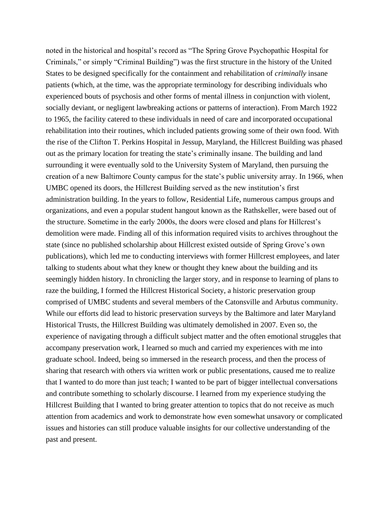noted in the historical and hospital's record as "The Spring Grove Psychopathic Hospital for Criminals," or simply "Criminal Building") was the first structure in the history of the United States to be designed specifically for the containment and rehabilitation of *criminally* insane patients (which, at the time, was the appropriate terminology for describing individuals who experienced bouts of psychosis and other forms of mental illness in conjunction with violent, socially deviant, or negligent lawbreaking actions or patterns of interaction). From March 1922 to 1965, the facility catered to these individuals in need of care and incorporated occupational rehabilitation into their routines, which included patients growing some of their own food. With the rise of the Clifton T. Perkins Hospital in Jessup, Maryland, the Hillcrest Building was phased out as the primary location for treating the state's criminally insane. The building and land surrounding it were eventually sold to the University System of Maryland, then pursuing the creation of a new Baltimore County campus for the state's public university array. In 1966, when UMBC opened its doors, the Hillcrest Building served as the new institution's first administration building. In the years to follow, Residential Life, numerous campus groups and organizations, and even a popular student hangout known as the Rathskeller, were based out of the structure. Sometime in the early 2000s, the doors were closed and plans for Hillcrest's demolition were made. Finding all of this information required visits to archives throughout the state (since no published scholarship about Hillcrest existed outside of Spring Grove's own publications), which led me to conducting interviews with former Hillcrest employees, and later talking to students about what they knew or thought they knew about the building and its seemingly hidden history. In chronicling the larger story, and in response to learning of plans to raze the building, I formed the Hillcrest Historical Society, a historic preservation group comprised of UMBC students and several members of the Catonsville and Arbutus community. While our efforts did lead to historic preservation surveys by the Baltimore and later Maryland Historical Trusts, the Hillcrest Building was ultimately demolished in 2007. Even so, the experience of navigating through a difficult subject matter and the often emotional struggles that accompany preservation work, I learned so much and carried my experiences with me into graduate school. Indeed, being so immersed in the research process, and then the process of sharing that research with others via written work or public presentations, caused me to realize that I wanted to do more than just teach; I wanted to be part of bigger intellectual conversations and contribute something to scholarly discourse. I learned from my experience studying the Hillcrest Building that I wanted to bring greater attention to topics that do not receive as much attention from academics and work to demonstrate how even somewhat unsavory or complicated issues and histories can still produce valuable insights for our collective understanding of the past and present.